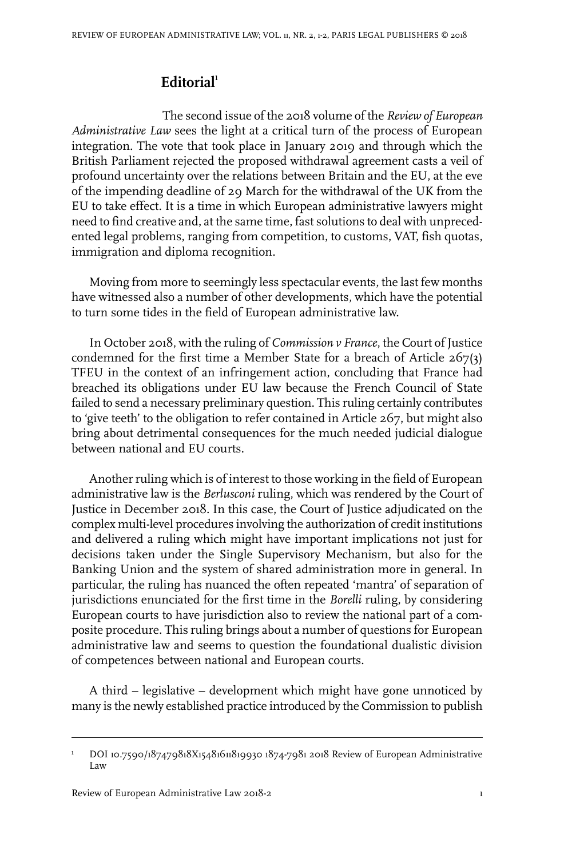## **Editorial**<sup>1</sup>

The second issue of the 2018 volume of the *Review of European Administrative Law* sees the light at a critical turn of the process of European integration. The vote that took place in January 2019 and through which the British Parliament rejected the proposed withdrawal agreement casts a veil of profound uncertainty over the relations between Britain and the EU, at the eve of the impending deadline of 29 March for the withdrawal of the UK from the EU to take effect. It is a time in which European administrative lawyers might need to find creative and, at the same time, fast solutions to deal with unprecedented legal problems, ranging from competition, to customs, VAT, fish quotas, immigration and diploma recognition.

Moving from more to seemingly less spectacular events, the last few months have witnessed also a number of other developments, which have the potential to turn some tides in the field of European administrative law.

In October 2018, with the ruling of *Commission v France*, the Court of Justice condemned for the first time a Member State for a breach of Article 267(3) TFEU in the context of an infringement action, concluding that France had breached its obligations under EU law because the French Council of State failed to send a necessary preliminary question. This ruling certainly contributes to 'give teeth' to the obligation to refer contained in Article 267, but might also bring about detrimental consequences for the much needed judicial dialogue between national and EU courts.

Another ruling which is of interest to those working in the field of European administrative law is the *Berlusconi* ruling, which was rendered by the Court of Justice in December 2018. In this case, the Court of Justice adjudicated on the complex multi-level procedures involving the authorization of credit institutions and delivered a ruling which might have important implications not just for decisions taken under the Single Supervisory Mechanism, but also for the Banking Union and the system of shared administration more in general. In particular, the ruling has nuanced the often repeated 'mantra' of separation of jurisdictions enunciated for the first time in the *Borelli* ruling, by considering European courts to have jurisdiction also to review the national part of a composite procedure. This ruling brings about a number of questions for European administrative law and seems to question the foundational dualistic division of competences between national and European courts.

A third – legislative – development which might have gone unnoticed by many is the newly established practice introduced by the Commission to publish

DOI 10.7590/187479818X15481611819930 1874-7981 2018 Review of European Administrative Law 1